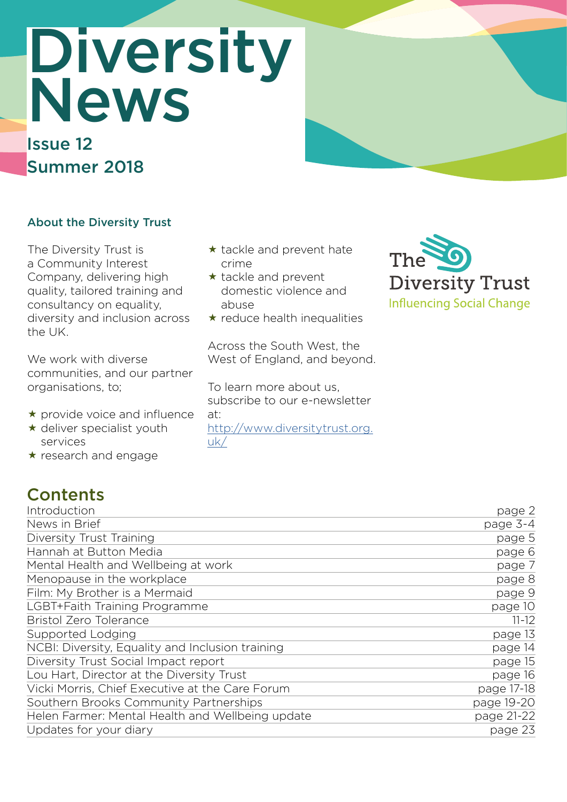# Diversity News

# Issue 12 Summer 2018

## About the Diversity Trust

The Diversity Trust is a Community Interest Company, delivering high quality, tailored training and consultancy on equality, diversity and inclusion across the UK.

We work with diverse communities, and our partner organisations, to;

- \* provide voice and influence
- $\star$  deliver specialist youth services
- $\star$  research and engage

**Contents** 

#### $\star$  tackle and prevent hate crime

- $\star$  tackle and prevent domestic violence and abuse
- $\star$  reduce health inequalities

Across the South West, the West of England, and beyond.

To learn more about us, subscribe to our e-newsletter at: [http://www.diversitytrust.org.](http://www.diversitytrust.org.uk/) [uk/](http://www.diversitytrust.org.uk/)



| Introduction                                     | page 2     |
|--------------------------------------------------|------------|
| News in Brief                                    | page 3-4   |
| Diversity Trust Training                         | page 5     |
| Hannah at Button Media                           | page 6     |
| Mental Health and Wellbeing at work              | page 7     |
| Menopause in the workplace                       | page 8     |
| Film: My Brother is a Mermaid                    | page 9     |
| LGBT+Faith Training Programme                    | page 10    |
| <b>Bristol Zero Tolerance</b>                    | $11 - 12$  |
| Supported Lodging                                | page 13    |
| NCBI: Diversity, Equality and Inclusion training | page 14    |
| Diversity Trust Social Impact report             | page 15    |
| Lou Hart, Director at the Diversity Trust        | page 16    |
| Vicki Morris, Chief Executive at the Care Forum  | page 17-18 |
| Southern Brooks Community Partnerships           | page 19-20 |
| Helen Farmer: Mental Health and Wellbeing update | page 21-22 |
| Updates for your diary                           | page 23    |
|                                                  |            |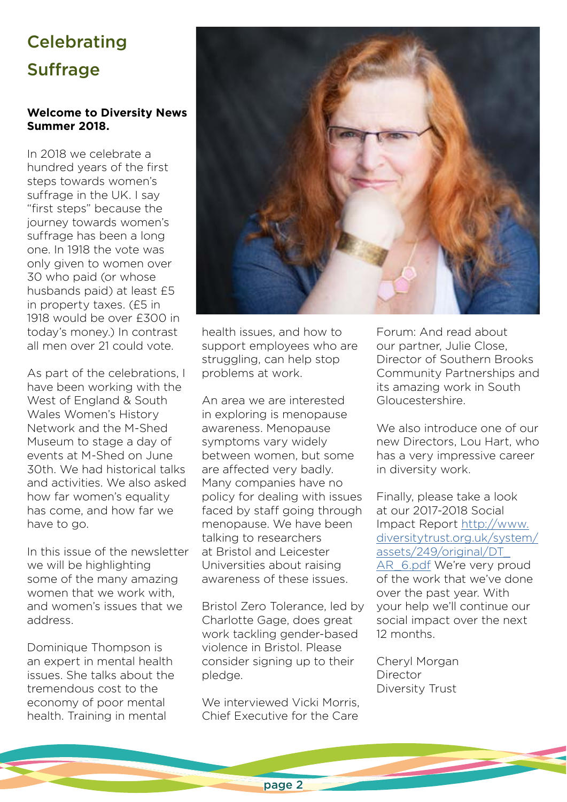# **Celebrating Suffrage**

#### **Welcome to Diversity News Summer 2018.**

In 2018 we celebrate a hundred years of the first steps towards women's suffrage in the UK. I say "first steps" because the journey towards women's suffrage has been a long one. In 1918 the vote was only given to women over 30 who paid (or whose husbands paid) at least £5 in property taxes. (£5 in 1918 would be over £300 in today's money.) In contrast all men over 21 could vote.

As part of the celebrations, I have been working with the West of England & South Wales Women's History Network and the M-Shed Museum to stage a day of events at M-Shed on June 30th. We had historical talks and activities. We also asked how far women's equality has come, and how far we have to go.

In this issue of the newsletter we will be highlighting some of the many amazing women that we work with, and women's issues that we address.

Dominique Thompson is an expert in mental health issues. She talks about the tremendous cost to the economy of poor mental health. Training in mental



health issues, and how to support employees who are struggling, can help stop problems at work.

An area we are interested in exploring is menopause awareness. Menopause symptoms vary widely between women, but some are affected very badly. Many companies have no policy for dealing with issues faced by staff going through menopause. We have been talking to researchers at Bristol and Leicester Universities about raising awareness of these issues.

Bristol Zero Tolerance, led by Charlotte Gage, does great work tackling gender-based violence in Bristol. Please consider signing up to their pledge.

We interviewed Vicki Morris, Chief Executive for the Care

Forum: And read about our partner, Julie Close, Director of Southern Brooks Community Partnerships and its amazing work in South Gloucestershire.

We also introduce one of our new Directors, Lou Hart, who has a very impressive career in diversity work.

Finally, please take a look at our 2017-2018 Social Impact Report [http://www.](http://www.diversitytrust.org.uk/system/assets/249/original/DT_AR_6.pdf) [diversitytrust.org.uk/system/](http://www.diversitytrust.org.uk/system/assets/249/original/DT_AR_6.pdf) [assets/249/original/DT\\_](http://www.diversitytrust.org.uk/system/assets/249/original/DT_AR_6.pdf) [AR\\_6.pdf](http://www.diversitytrust.org.uk/system/assets/249/original/DT_AR_6.pdf) We're very proud of the work that we've done over the past year. With your help we'll continue our social impact over the next 12 months.

Cheryl Morgan Director Diversity Trust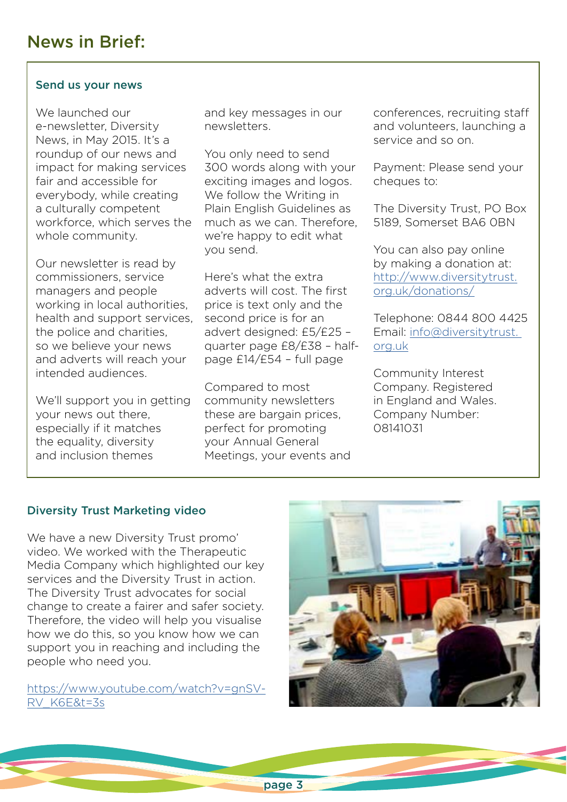#### Send us your news

We launched our e-newsletter, Diversity News, in May 2015. It's a roundup of our news and impact for making services fair and accessible for everybody, while creating a culturally competent workforce, which serves the whole community.

Our newsletter is read by commissioners, service managers and people working in local authorities, health and support services, the police and charities, so we believe your news and adverts will reach your intended audiences.

We'll support you in getting your news out there, especially if it matches the equality, diversity and inclusion themes

and key messages in our newsletters.

You only need to send 300 words along with your exciting images and logos. We follow the Writing in Plain English Guidelines as much as we can. Therefore, we're happy to edit what you send.

Here's what the extra adverts will cost. The first price is text only and the second price is for an advert designed: £5/£25 – quarter page £8/£38 – halfpage £14/£54 – full page

Compared to most community newsletters these are bargain prices, perfect for promoting your Annual General Meetings, your events and conferences, recruiting staff and volunteers, launching a service and so on.

Payment: Please send your cheques to:

The Diversity Trust, PO Box 5189, Somerset BA6 0BN

You can also pay online by making a donation at: [http://www.diversitytrust.](http://www.diversitytrust.org.uk/donations/) [org.uk/donations/](http://www.diversitytrust.org.uk/donations/)

Telephone: 0844 800 4425 Email: [info@diversitytrust.](mailto:info@diversitytrust. org.uk)  [org.uk](mailto:info@diversitytrust. org.uk)

Community Interest Company. Registered in England and Wales. Company Number: 08141031

#### Diversity Trust Marketing video

We have a new Diversity Trust promo' video. We worked with the Therapeutic Media Company which highlighted our key services and the Diversity Trust in action. The Diversity Trust advocates for social change to create a fairer and safer society. Therefore, the video will help you visualise how we do this, so you know how we can support you in reaching and including the people who need you.

[https://www.youtube.com/watch?v=gnSV-](https://www.youtube.com/watch?v=gnSV-RV_K6E&t=3s)[RV\\_K6E&t=3s](https://www.youtube.com/watch?v=gnSV-RV_K6E&t=3s)

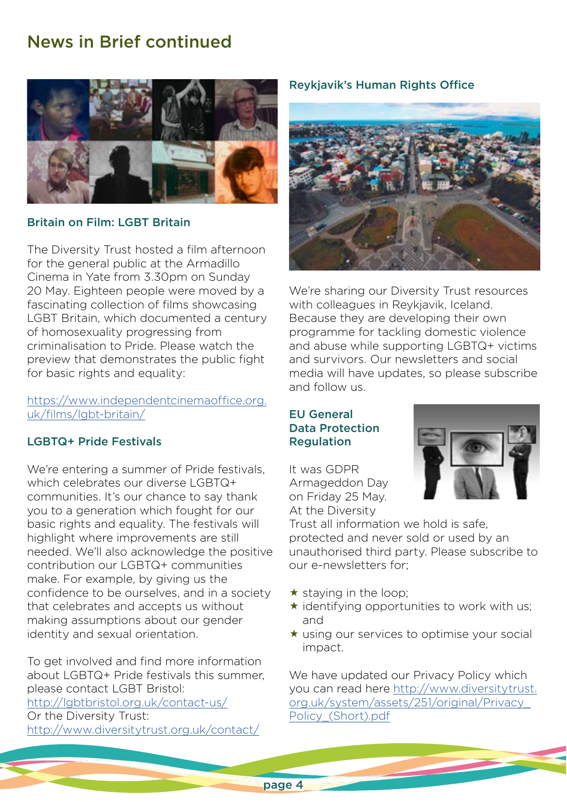## News in Brief continued



#### Britain on Film: LGBT Britain

The Diversity Trust hosted a film afternoon for the general public at the Armadillo Cinema in Yate from 3.30pm on Sunday 20 May. Eighteen people were moved by a fascinating collection of films showcasing LGBT Britain, which documented a century of homosexuality progressing from criminalisation to Pride. Please watch the preview that demonstrates the public fight for basic rights and equality:

[https://www.independentcinemaoffice.org.](https://www.independentcinemaoffice.org.uk/films/lgbt-britain/) [uk/films/lgbt-britain/](https://www.independentcinemaoffice.org.uk/films/lgbt-britain/)

#### LGBTQ+ Pride Festivals

We're entering a summer of Pride festivals, which celebrates our diverse LGBTQ+ communities. It's our chance to say thank you to a generation which fought for our basic rights and equality. The festivals will highlight where improvements are still needed. We'll also acknowledge the positive contribution our LGBTQ+ communities make. For example, by giving us the confidence to be ourselves, and in a society that celebrates and accepts us without making assumptions about our gender identity and sexual orientation.

To get involved and find more information about LGBTQ+ Pride festivals this summer, please contact LGBT Bristol: <http://lgbtbristol.org.uk/contact-us/> Or the Diversity Trust: <http://www.diversitytrust.org.uk/contact/>

#### Reykjavik's Human Rights Office



We're sharing our Diversity Trust resources with colleagues in Reykjavik, Iceland. Because they are developing their own programme for tackling domestic violence and abuse while supporting LGBTQ+ victims and survivors. Our newsletters and social media will have updates, so please subscribe and follow us.

#### EU General Data Protection Regulation

It was GDPR Armageddon Day on Friday 25 May. At the Diversity



Trust all information we hold is safe, protected and never sold or used by an unauthorised third party. Please subscribe to our e-newsletters for;

- $\star$  staying in the loop;
- $\star$  identifying opportunities to work with us; and
- $\star$  using our services to optimise your social impact.

We have updated our Privacy Policy which you can read here [http://www.diversitytrust.](http://www.diversitytrust.org.uk/system/assets/251/original/Privacy_Policy_(Short).pdf) [org.uk/system/assets/251/original/Privacy\\_](http://www.diversitytrust.org.uk/system/assets/251/original/Privacy_Policy_(Short).pdf) [Policy\\_\(Short\).pdf](http://www.diversitytrust.org.uk/system/assets/251/original/Privacy_Policy_(Short).pdf)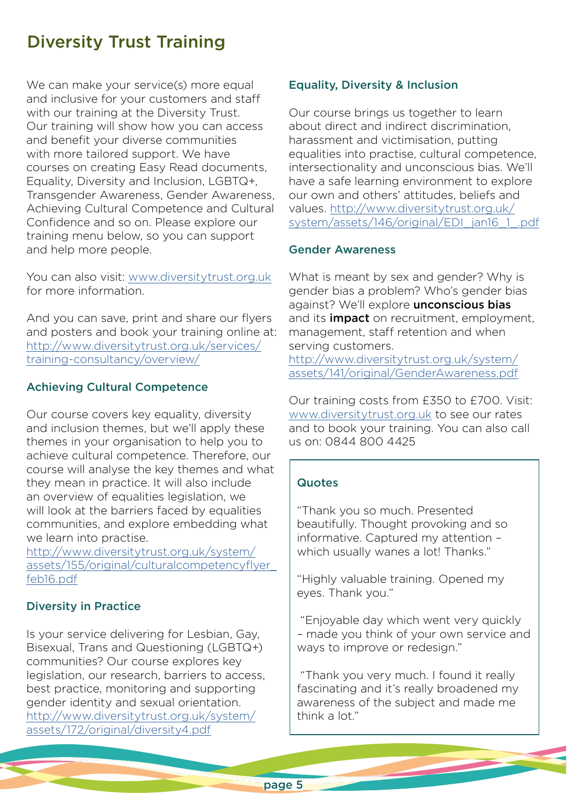## Diversity Trust Training

We can make your service(s) more equal and inclusive for your customers and staff with our training at the Diversity Trust. Our training will show how you can access and benefit your diverse communities with more tailored support. We have courses on creating Easy Read documents, Equality, Diversity and Inclusion, LGBTQ+, Transgender Awareness, Gender Awareness, Achieving Cultural Competence and Cultural Confidence and so on. Please explore our training menu below, so you can support and help more people.

You can also visit: [www.diversitytrust.org.uk](http://www.diversitytrust.org.uk) for more information.

And you can save, print and share our flyers and posters and book your training online at: [http://www.diversitytrust.org.uk/services/](http://www.diversitytrust.org.uk/services/training-consultancy/overview/) [training-consultancy/overview/](http://www.diversitytrust.org.uk/services/training-consultancy/overview/)

#### Achieving Cultural Competence

Our course covers key equality, diversity and inclusion themes, but we'll apply these themes in your organisation to help you to achieve cultural competence. Therefore, our course will analyse the key themes and what they mean in practice. It will also include an overview of equalities legislation, we will look at the barriers faced by equalities communities, and explore embedding what we learn into practise.

[http://www.diversitytrust.org.uk/system/](http://www.diversitytrust.org.uk/system/assets/155/original/culturalcompetencyflyer_feb16.pdf) [assets/155/original/culturalcompetencyflyer\\_](http://www.diversitytrust.org.uk/system/assets/155/original/culturalcompetencyflyer_feb16.pdf) [feb16.pdf](http://www.diversitytrust.org.uk/system/assets/155/original/culturalcompetencyflyer_feb16.pdf)

#### Diversity in Practice

Is your service delivering for Lesbian, Gay, Bisexual, Trans and Questioning (LGBTQ+) communities? Our course explores key legislation, our research, barriers to access, best practice, monitoring and supporting gender identity and sexual orientation. [http://www.diversitytrust.org.uk/system/](http://www.diversitytrust.org.uk/system/assets/172/original/diversity4.pdf) [assets/172/original/diversity4.pdf](http://www.diversitytrust.org.uk/system/assets/172/original/diversity4.pdf)

#### Equality, Diversity & Inclusion

Our course brings us together to learn about direct and indirect discrimination, harassment and victimisation, putting equalities into practise, cultural competence, intersectionality and unconscious bias. We'll have a safe learning environment to explore our own and others' attitudes, beliefs and values. [http://www.diversitytrust.org.uk/](http://www.diversitytrust.org.uk/system/assets/146/original/EDI_jan16_1_.pdf) [system/assets/146/original/EDI\\_jan16\\_1\\_.pdf](http://www.diversitytrust.org.uk/system/assets/146/original/EDI_jan16_1_.pdf)

#### Gender Awareness

What is meant by sex and gender? Why is gender bias a problem? Who's gender bias against? We'll explore **unconscious bias** and its **impact** on recruitment, employment, management, staff retention and when serving customers.

[http://www.diversitytrust.org.uk/system/](http://www.diversitytrust.org.uk/system/assets/141/original/GenderAwareness.pdf) [assets/141/original/GenderAwareness.pdf](http://www.diversitytrust.org.uk/system/assets/141/original/GenderAwareness.pdf)

Our training costs from £350 to £700. Visit: [www.diversitytrust.org.uk](http://www.diversitytrust.org.uk) to see our rates and to book your training. You can also call us on: 0844 800 4425

#### **Quotes**

"Thank you so much. Presented beautifully. Thought provoking and so informative. Captured my attention – which usually wanes a lot! Thanks."

"Highly valuable training. Opened my eyes. Thank you."

 "Enjoyable day which went very quickly – made you think of your own service and ways to improve or redesign."

 "Thank you very much. I found it really fascinating and it's really broadened my awareness of the subject and made me think a lot."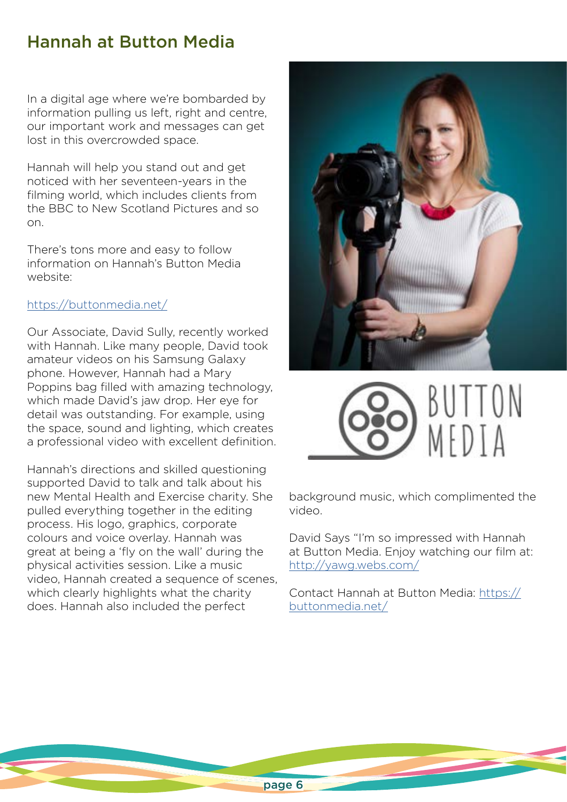## Hannah at Button Media

In a digital age where we're bombarded by information pulling us left, right and centre, our important work and messages can get lost in this overcrowded space.

Hannah will help you stand out and get noticed with her seventeen-years in the filming world, which includes clients from the BBC to New Scotland Pictures and so on.

There's tons more and easy to follow information on Hannah's Button Media website:

#### <https://buttonmedia.net/>

Our Associate, David Sully, recently worked with Hannah. Like many people, David took amateur videos on his Samsung Galaxy phone. However, Hannah had a Mary Poppins bag filled with amazing technology, which made David's jaw drop. Her eye for detail was outstanding. For example, using the space, sound and lighting, which creates a professional video with excellent definition.

Hannah's directions and skilled questioning supported David to talk and talk about his new Mental Health and Exercise charity. She pulled everything together in the editing process. His logo, graphics, corporate colours and voice overlay. Hannah was great at being a 'fly on the wall' during the physical activities session. Like a music video, Hannah created a sequence of scenes, which clearly highlights what the charity does. Hannah also included the perfect





background music, which complimented the video.

David Says "I'm so impressed with Hannah at Button Media. Enjoy watching our film at: <http://yawg.webs.com/>

Contact Hannah at Button Media: [https://](https://buttonmedia.net/) [buttonmedia.net/](https://buttonmedia.net/)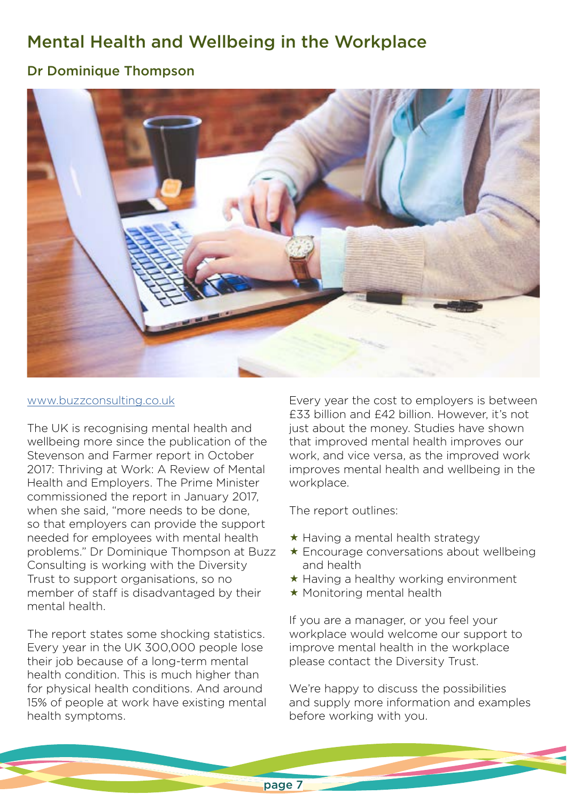# Mental Health and Wellbeing in the Workplace

## Dr Dominique Thompson



#### [www.buzzconsulting.co.uk](http://www.buzzconsulting.co.uk)

The UK is recognising mental health and wellbeing more since the publication of the Stevenson and Farmer report in October 2017: Thriving at Work: A Review of Mental Health and Employers. The Prime Minister commissioned the report in January 2017, when she said, "more needs to be done, so that employers can provide the support needed for employees with mental health problems." Dr Dominique Thompson at Buzz Consulting is working with the Diversity Trust to support organisations, so no member of staff is disadvantaged by their mental health.

The report states some shocking statistics. Every year in the UK 300,000 people lose their job because of a long-term mental health condition. This is much higher than for physical health conditions. And around 15% of people at work have existing mental health symptoms.

Every year the cost to employers is between £33 billion and £42 billion. However, it's not just about the money. Studies have shown that improved mental health improves our work, and vice versa, as the improved work improves mental health and wellbeing in the workplace.

The report outlines:

- $\star$  Having a mental health strategy
- Encourage conversations about wellbeing and health
- $\star$  Having a healthy working environment
- $\star$  Monitoring mental health

If you are a manager, or you feel your workplace would welcome our support to improve mental health in the workplace please contact the Diversity Trust.

We're happy to discuss the possibilities and supply more information and examples before working with you.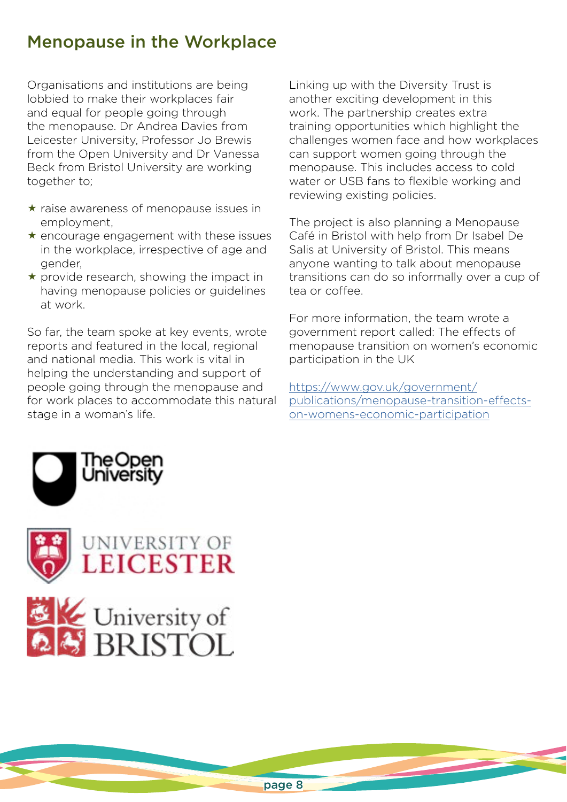## Menopause in the Workplace

Organisations and institutions are being lobbied to make their workplaces fair and equal for people going through the menopause. Dr Andrea Davies from Leicester University, Professor Jo Brewis from the Open University and Dr Vanessa Beck from Bristol University are working together to;

- $\star$  raise awareness of menopause issues in employment,
- $\star$  encourage engagement with these issues in the workplace, irrespective of age and gender,
- $\star$  provide research, showing the impact in having menopause policies or guidelines at work.

So far, the team spoke at key events, wrote reports and featured in the local, regional and national media. This work is vital in helping the understanding and support of people going through the menopause and for work places to accommodate this natural stage in a woman's life.

Linking up with the Diversity Trust is another exciting development in this work. The partnership creates extra training opportunities which highlight the challenges women face and how workplaces can support women going through the menopause. This includes access to cold water or USB fans to flexible working and reviewing existing policies.

The project is also planning a Menopause Café in Bristol with help from Dr Isabel De Salis at University of Bristol. This means anyone wanting to talk about menopause transitions can do so informally over a cup of tea or coffee.

For more information, the team wrote a government report called: The effects of menopause transition on women's economic participation in the UK

[https://www.gov.uk/government/](https://www.gov.uk/government/publications/menopause-transition-effects-on-womens-economic-participation) [publications/menopause-transition-effects](https://www.gov.uk/government/publications/menopause-transition-effects-on-womens-economic-participation)[on-womens-economic-participation](https://www.gov.uk/government/publications/menopause-transition-effects-on-womens-economic-participation)



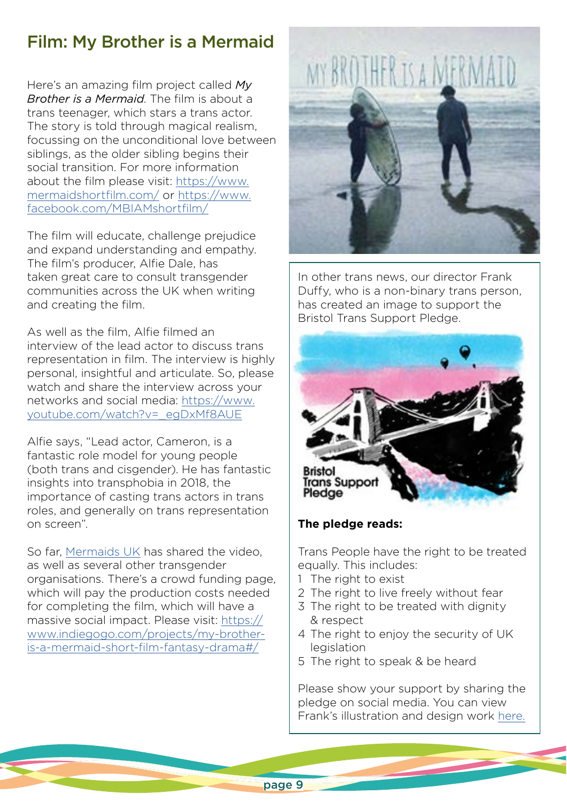# Film: My Brother is a Mermaid

Here's an amazing film project called *My Brother is a Mermaid*. The film is about a trans teenager, which stars a trans actor. The story is told through magical realism, focussing on the unconditional love between siblings, as the older sibling begins their social transition. For more information about the film please visit: [https://www.](https://www.mermaidshortfilm.com/) [mermaidshortfilm.com/](https://www.mermaidshortfilm.com/) or [https://www.](https://www.facebook.com/MBIAMshortfilm/) [facebook.com/MBIAMshortfilm/](https://www.facebook.com/MBIAMshortfilm/)

The film will educate, challenge prejudice and expand understanding and empathy. The film's producer, Alfie Dale, has taken great care to consult transgender communities across the UK when writing and creating the film.

As well as the film, Alfie filmed an interview of the lead actor to discuss trans representation in film. The interview is highly personal, insightful and articulate. So, please watch and share the interview across your networks and social media: [https://www.](https://www.youtube.com/watch?v=_egDxMf8AUE) [youtube.com/watch?v=\\_egDxMf8AUE](https://www.youtube.com/watch?v=_egDxMf8AUE)

Alfie says, "Lead actor, Cameron, is a fantastic role model for young people (both trans and cisgender). He has fantastic insights into transphobia in 2018, the importance of casting trans actors in trans roles, and generally on trans representation on screen".

So far, [Mermaids UK](https://www.mermaidsuk.org.uk/) has shared the video, as well as several other transgender organisations. There's a crowd funding page, which will pay the production costs needed for completing the film, which will have a massive social impact. Please visit: [https://](https://www.indiegogo.com/projects/my-brother-is-a-mermaid-short-film-fantasy-drama#/) [www.indiegogo.com/projects/my-brother](https://www.indiegogo.com/projects/my-brother-is-a-mermaid-short-film-fantasy-drama#/)[is-a-mermaid-short-film-fantasy-drama#/](https://www.indiegogo.com/projects/my-brother-is-a-mermaid-short-film-fantasy-drama#/)



In other trans news, our director Frank Duffy, who is a non-binary trans person, has created an image to support the Bristol Trans Support Pledge.



#### **The pledge reads:**

Trans People have the right to be treated equally. This includes:

- 1 The right to exist
- 2 The right to live freely without fear
- 3 The right to be treated with dignity & respect
- 4 The right to enjoy the security of UK legislation
- 5 The right to speak & be heard

Please show your support by sharing the pledge on social media. You can view Frank's illustration and design work [here.](http://www.frankduffy.co.uk)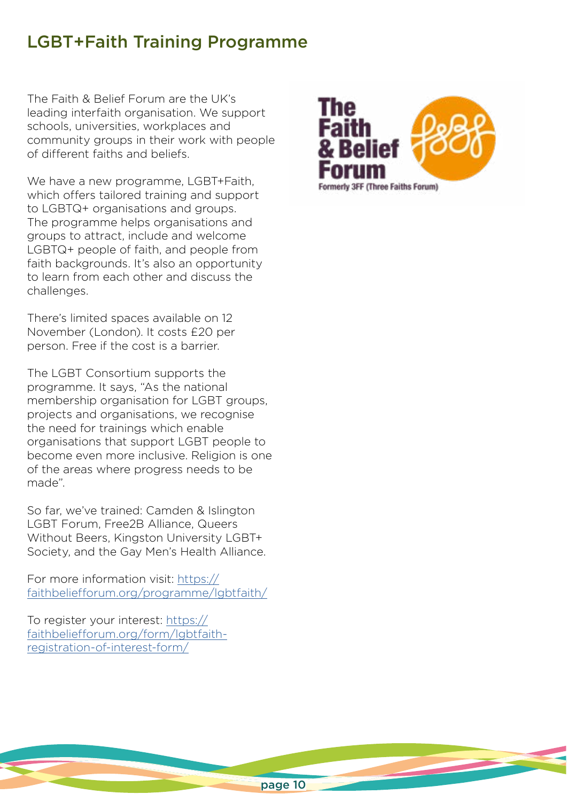## LGBT+Faith Training Programme

The Faith & Belief Forum are the UK's leading interfaith organisation. We support schools, universities, workplaces and community groups in their work with people of different faiths and beliefs.

We have a new programme, LGBT+Faith, which offers tailored training and support to LGBTQ+ organisations and groups. The programme helps organisations and groups to attract, include and welcome LGBTQ+ people of faith, and people from faith backgrounds. It's also an opportunity to learn from each other and discuss the challenges.

There's limited spaces available on 12 November (London). It costs £20 per person. Free if the cost is a barrier.

The LGBT Consortium supports the programme. It says, "As the national membership organisation for LGBT groups, projects and organisations, we recognise the need for trainings which enable organisations that support LGBT people to become even more inclusive. Religion is one of the areas where progress needs to be made".

So far, we've trained: Camden & Islington LGBT Forum, Free2B Alliance, Queers Without Beers, Kingston University LGBT+ Society, and the Gay Men's Health Alliance.

For more information visit: [https://](https://faithbeliefforum.org/programme/lgbtfaith/) [faithbeliefforum.org/programme/lgbtfaith/](https://faithbeliefforum.org/programme/lgbtfaith/)

To register your interest: [https://](https://faithbeliefforum.org/form/lgbtfaith-registration-of-interest-form/) [faithbeliefforum.org/form/lgbtfaith](https://faithbeliefforum.org/form/lgbtfaith-registration-of-interest-form/)[registration-of-interest-form/](https://faithbeliefforum.org/form/lgbtfaith-registration-of-interest-form/)

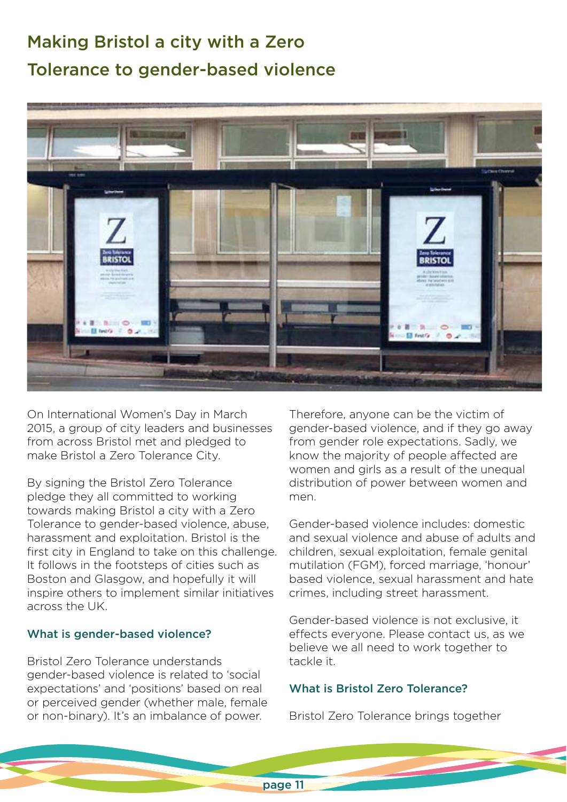# Making Bristol a city with a Zero Tolerance to gender-based violence



On International Women's Day in March 2015, a group of city leaders and businesses from across Bristol met and pledged to make Bristol a Zero Tolerance City.

By signing the Bristol Zero Tolerance pledge they all committed to working towards making Bristol a city with a Zero Tolerance to gender-based violence, abuse, harassment and exploitation. Bristol is the first city in England to take on this challenge. It follows in the footsteps of cities such as Boston and Glasgow, and hopefully it will inspire others to implement similar initiatives across the UK.

#### What is gender-based violence?

Bristol Zero Tolerance understands gender-based violence is related to 'social expectations' and 'positions' based on real or perceived gender (whether male, female or non-binary). It's an imbalance of power.

Therefore, anyone can be the victim of gender-based violence, and if they go away from gender role expectations. Sadly, we know the majority of people affected are women and girls as a result of the unequal distribution of power between women and men.

Gender-based violence includes: domestic and sexual violence and abuse of adults and children, sexual exploitation, female genital mutilation (FGM), forced marriage, 'honour' based violence, sexual harassment and hate crimes, including street harassment.

Gender-based violence is not exclusive, it effects everyone. Please contact us, as we believe we all need to work together to tackle it.

#### What is Bristol Zero Tolerance?

Bristol Zero Tolerance brings together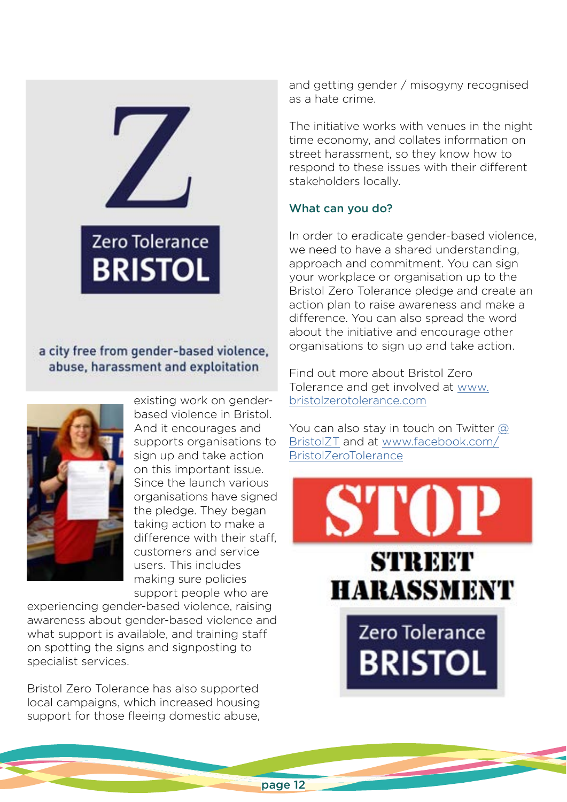

## a city free from gender-based violence, abuse, harassment and exploitation



existing work on genderbased violence in Bristol. And it encourages and supports organisations to sign up and take action on this important issue. Since the launch various organisations have signed the pledge. They began taking action to make a difference with their staff, customers and service users. This includes making sure policies support people who are

experiencing gender-based violence, raising awareness about gender-based violence and what support is available, and training staff on spotting the signs and signposting to specialist services.

Bristol Zero Tolerance has also supported local campaigns, which increased housing support for those fleeing domestic abuse,

and getting gender / misogyny recognised as a hate crime.

The initiative works with venues in the night time economy, and collates information on street harassment, so they know how to respond to these issues with their different stakeholders locally.

#### What can you do?

In order to eradicate gender-based violence, we need to have a shared understanding, approach and commitment. You can sign your workplace or organisation up to the Bristol Zero Tolerance pledge and create an action plan to raise awareness and make a difference. You can also spread the word about the initiative and encourage other organisations to sign up and take action.

Find out more about Bristol Zero Tolerance and get involved at [www.](http://www.bristolzerotolerance.com) [bristolzerotolerance.com](http://www.bristolzerotolerance.com)

You can also stay in touch on Twitter [@](mailto:https://twitter.com/BristolZT?subject=) [BristolZT](mailto:https://twitter.com/BristolZT?subject=) and at [www.facebook.com/](http://www.facebook.com/BristolZeroTolerance) [BristolZeroTolerance](http://www.facebook.com/BristolZeroTolerance)

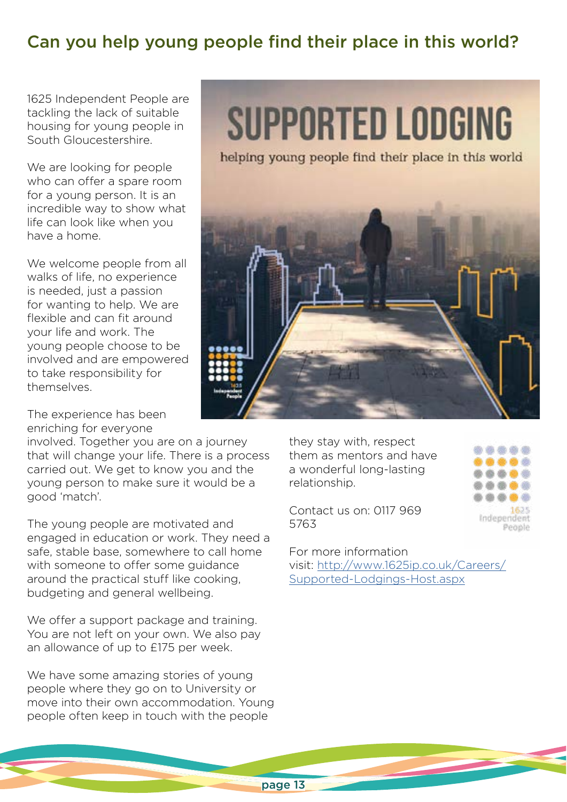# Can you help young people find their place in this world?

1625 Independent People are tackling the lack of suitable housing for young people in South Gloucestershire.

We are looking for people who can offer a spare room for a young person. It is an incredible way to show what life can look like when you have a home.

We welcome people from all walks of life, no experience is needed, just a passion for wanting to help. We are flexible and can fit around your life and work. The young people choose to be involved and are empowered to take responsibility for themselves.

The experience has been enriching for everyone

involved. Together you are on a journey that will change your life. There is a process carried out. We get to know you and the young person to make sure it would be a good 'match'.

The young people are motivated and engaged in education or work. They need a safe, stable base, somewhere to call home with someone to offer some guidance around the practical stuff like cooking, budgeting and general wellbeing.

We offer a support package and training. You are not left on your own. We also pay an allowance of up to £175 per week.

We have some amazing stories of young people where they go on to University or move into their own accommodation. Young people often keep in touch with the people

# **SUPPORTED LODGING**

helping young people find their place in this world



they stay with, respect them as mentors and have a wonderful long-lasting relationship.

Contact us on: 0117 969 5763



For more information visit: [http://www.1625ip.co.uk/Careers/](http://www.1625ip.co.uk/Careers/Supported-Lodgings-Host.aspx) [Supported-Lodgings-Host.aspx](http://www.1625ip.co.uk/Careers/Supported-Lodgings-Host.aspx)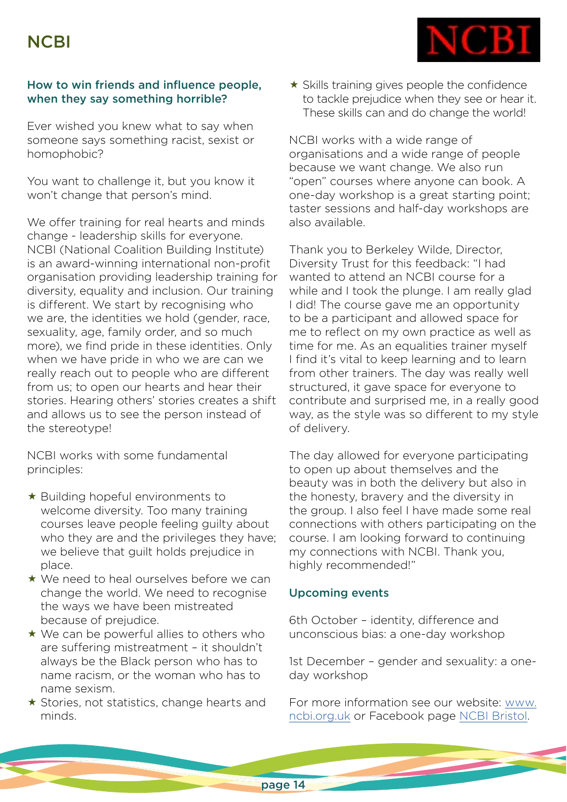

#### How to win friends and influence people, when they say something horrible?

Ever wished you knew what to say when someone says something racist, sexist or homophobic?

You want to challenge it, but you know it won't change that person's mind.

We offer training for real hearts and minds change - leadership skills for everyone. NCBI (National Coalition Building Institute) is an award-winning international non-profit organisation providing leadership training for diversity, equality and inclusion. Our training is different. We start by recognising who we are, the identities we hold (gender, race, sexuality, age, family order, and so much more), we find pride in these identities. Only when we have pride in who we are can we really reach out to people who are different from us; to open our hearts and hear their stories. Hearing others' stories creates a shift and allows us to see the person instead of the stereotype!

NCBI works with some fundamental principles:

- Building hopeful environments to welcome diversity. Too many training courses leave people feeling guilty about who they are and the privileges they have; we believe that guilt holds prejudice in place.
- ★ We need to heal ourselves before we can change the world. We need to recognise the ways we have been mistreated because of prejudice.
- $\star$  We can be powerful allies to others who are suffering mistreatment – it shouldn't always be the Black person who has to name racism, or the woman who has to name sexism.
- $\star$  Stories, not statistics, change hearts and minds.

 $\star$  Skills training gives people the confidence to tackle prejudice when they see or hear it. These skills can and do change the world!

NCBI works with a wide range of organisations and a wide range of people because we want change. We also run "open" courses where anyone can book. A one-day workshop is a great starting point; taster sessions and half-day workshops are also available.

Thank you to Berkeley Wilde, Director, Diversity Trust for this feedback: "I had wanted to attend an NCBI course for a while and I took the plunge. I am really glad I did! The course gave me an opportunity to be a participant and allowed space for me to reflect on my own practice as well as time for me. As an equalities trainer myself I find it's vital to keep learning and to learn from other trainers. The day was really well structured, it gave space for everyone to contribute and surprised me, in a really good way, as the style was so different to my style of delivery.

The day allowed for everyone participating to open up about themselves and the beauty was in both the delivery but also in the honesty, bravery and the diversity in the group. I also feel I have made some real connections with others participating on the course. I am looking forward to continuing my connections with NCBI. Thank you, highly recommended!"

#### Upcoming events

6th October – identity, difference and unconscious bias: a one-day workshop

1st December – gender and sexuality: a oneday workshop

For more information see our website: [www.](http://www.ncbi.org.uk) [ncbi.org.uk](http://www.ncbi.org.uk) or Facebook page [NCBI Bristol.](mailto:https://www.facebook.com/NcbiBristol/?subject=)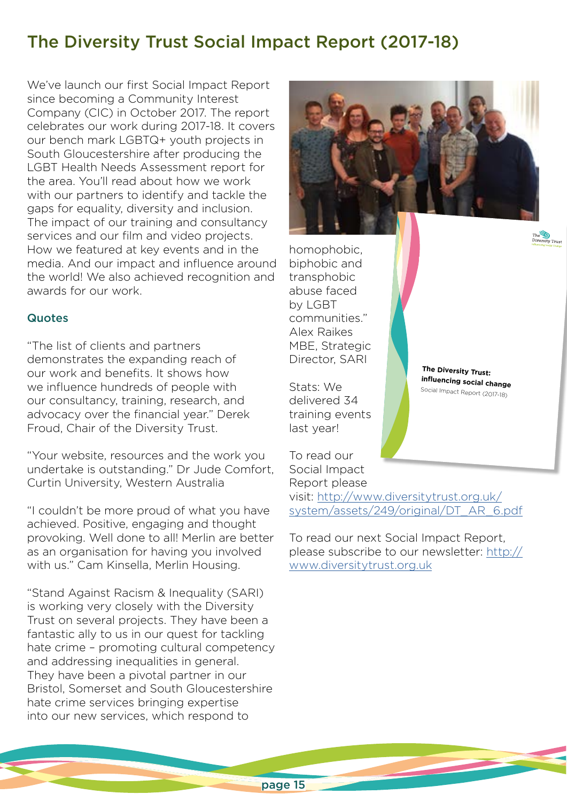## The Diversity Trust Social Impact Report (2017-18)

We've launch our first Social Impact Report since becoming a Community Interest Company (CIC) in October 2017. The report celebrates our work during 2017-18. It covers our bench mark LGBTQ+ youth projects in South Gloucestershire after producing the LGBT Health Needs Assessment report for the area. You'll read about how we work with our partners to identify and tackle the gaps for equality, diversity and inclusion. The impact of our training and consultancy services and our film and video projects. How we featured at key events and in the media. And our impact and influence around the world! We also achieved recognition and awards for our work.

#### **Quotes**

"The list of clients and partners demonstrates the expanding reach of our work and benefits. It shows how we influence hundreds of people with our consultancy, training, research, and advocacy over the financial year." Derek Froud, Chair of the Diversity Trust.

"Your website, resources and the work you undertake is outstanding." Dr Jude Comfort, Curtin University, Western Australia

"I couldn't be more proud of what you have achieved. Positive, engaging and thought provoking. Well done to all! Merlin are better as an organisation for having you involved with us." Cam Kinsella, Merlin Housing.

"Stand Against Racism & Inequality (SARI) is working very closely with the Diversity Trust on several projects. They have been a fantastic ally to us in our quest for tackling hate crime - promoting cultural competency and addressing inequalities in general. They have been a pivotal partner in our Bristol, Somerset and South Gloucestershire hate crime services bringing expertise into our new services, which respond to



homophobic, biphobic and transphobic abuse faced by LGBT communities." Alex Raikes MBE, Strategic Director, SARI

Stats: We delivered 34 training events last year!

To read our

**The Diversity Trust: influencing social change** Social Impact Report (2017-18)

Social Impact Report please visit: [http://www.diversitytrust.org.uk/](http://www.diversitytrust.org.uk/system/assets/249/original/DT_AR_6.pdf) [system/assets/249/original/DT\\_AR\\_6.pdf](http://www.diversitytrust.org.uk/system/assets/249/original/DT_AR_6.pdf)

To read our next Social Impact Report, please subscribe to our newsletter: [http://](http://www.diversitytrust.org.uk) [www.diversitytrust.org.uk](http://www.diversitytrust.org.uk)

page 15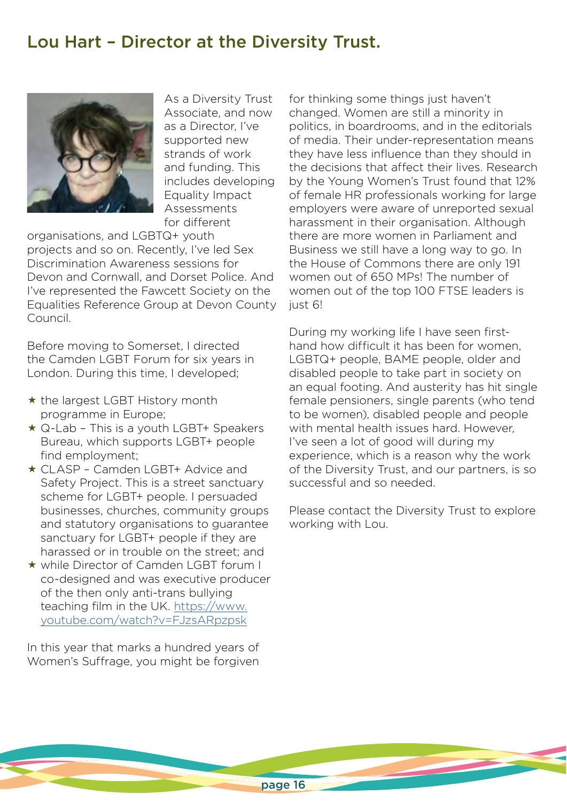## Lou Hart – Director at the Diversity Trust.



As a Diversity Trust Associate, and now as a Director, I've supported new strands of work and funding. This includes developing Equality Impact Assessments for different

organisations, and LGBTQ+ youth projects and so on. Recently, I've led Sex Discrimination Awareness sessions for Devon and Cornwall, and Dorset Police. And I've represented the Fawcett Society on the Equalities Reference Group at Devon County Council.

Before moving to Somerset, I directed the Camden LGBT Forum for six years in London. During this time, I developed;

- $\star$  the largest LGBT History month programme in Europe;
- ★ Q-Lab This is a youth LGBT+ Speakers Bureau, which supports LGBT+ people find employment;
- ★ CLASP Camden LGBT+ Advice and Safety Project. This is a street sanctuary scheme for LGBT+ people. I persuaded businesses, churches, community groups and statutory organisations to guarantee sanctuary for LGBT+ people if they are harassed or in trouble on the street; and
- while Director of Camden LGBT forum I co-designed and was executive producer of the then only anti-trans bullying teaching film in the UK. [https://www.](https://www.youtube.com/watch?v=FJzsARpzpsk) [youtube.com/watch?v=FJzsARpzpsk](https://www.youtube.com/watch?v=FJzsARpzpsk)

In this year that marks a hundred years of Women's Suffrage, you might be forgiven

for thinking some things just haven't changed. Women are still a minority in politics, in boardrooms, and in the editorials of media. Their under-representation means they have less influence than they should in the decisions that affect their lives. Research by the Young Women's Trust found that 12% of female HR professionals working for large employers were aware of unreported sexual harassment in their organisation. Although there are more women in Parliament and Business we still have a long way to go. In the House of Commons there are only 191 women out of 650 MPs! The number of women out of the top 100 FTSE leaders is just 6!

During my working life I have seen firsthand how difficult it has been for women, LGBTQ+ people, BAME people, older and disabled people to take part in society on an equal footing. And austerity has hit single female pensioners, single parents (who tend to be women), disabled people and people with mental health issues hard. However, I've seen a lot of good will during my experience, which is a reason why the work of the Diversity Trust, and our partners, is so successful and so needed.

Please contact the Diversity Trust to explore working with Lou.

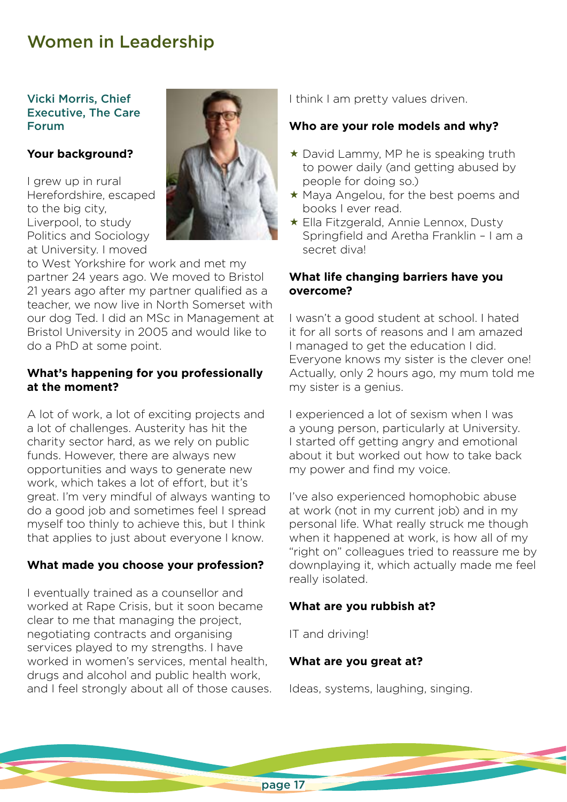## Women in Leadership

#### Vicki Morris, Chief Executive, The Care Forum

#### **Your background?**

I grew up in rural Herefordshire, escaped to the big city, Liverpool, to study Politics and Sociology at University. I moved



to West Yorkshire for work and met my partner 24 years ago. We moved to Bristol 21 years ago after my partner qualified as a teacher, we now live in North Somerset with our dog Ted. I did an MSc in Management at Bristol University in 2005 and would like to do a PhD at some point.

#### **What's happening for you professionally at the moment?**

A lot of work, a lot of exciting projects and a lot of challenges. Austerity has hit the charity sector hard, as we rely on public funds. However, there are always new opportunities and ways to generate new work, which takes a lot of effort, but it's great. I'm very mindful of always wanting to do a good job and sometimes feel I spread myself too thinly to achieve this, but I think that applies to just about everyone I know.

#### **What made you choose your profession?**

I eventually trained as a counsellor and worked at Rape Crisis, but it soon became clear to me that managing the project, negotiating contracts and organising services played to my strengths. I have worked in women's services, mental health, drugs and alcohol and public health work, and I feel strongly about all of those causes. I think I am pretty values driven.

#### **Who are your role models and why?**

- ★ David Lammy, MP he is speaking truth to power daily (and getting abused by people for doing so.)
- Maya Angelou, for the best poems and books I ever read.
- Ella Fitzgerald, Annie Lennox, Dusty Springfield and Aretha Franklin – I am a secret diva!

#### **What life changing barriers have you overcome?**

I wasn't a good student at school. I hated it for all sorts of reasons and I am amazed I managed to get the education I did. Everyone knows my sister is the clever one! Actually, only 2 hours ago, my mum told me my sister is a genius.

I experienced a lot of sexism when I was a young person, particularly at University. I started off getting angry and emotional about it but worked out how to take back my power and find my voice.

I've also experienced homophobic abuse at work (not in my current job) and in my personal life. What really struck me though when it happened at work, is how all of my "right on" colleagues tried to reassure me by downplaying it, which actually made me feel really isolated.

#### **What are you rubbish at?**

IT and driving!

#### **What are you great at?**

Ideas, systems, laughing, singing.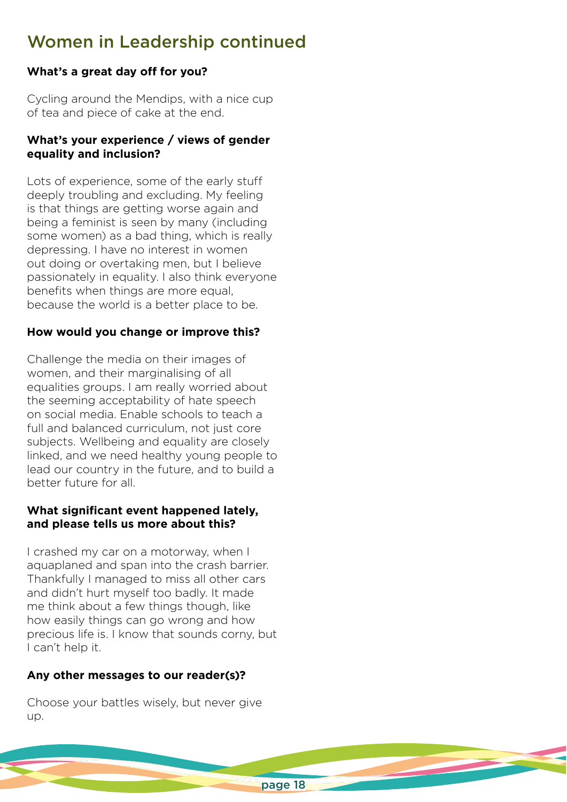# Women in Leadership continued

## **What's a great day off for you?**

Cycling around the Mendips, with a nice cup of tea and piece of cake at the end.

#### **What's your experience / views of gender equality and inclusion?**

Lots of experience, some of the early stuff deeply troubling and excluding. My feeling is that things are getting worse again and being a feminist is seen by many (including some women) as a bad thing, which is really depressing. I have no interest in women out doing or overtaking men, but I believe passionately in equality. I also think everyone benefits when things are more equal, because the world is a better place to be.

## **How would you change or improve this?**

Challenge the media on their images of women, and their marginalising of all equalities groups. I am really worried about the seeming acceptability of hate speech on social media. Enable schools to teach a full and balanced curriculum, not just core subjects. Wellbeing and equality are closely linked, and we need healthy young people to lead our country in the future, and to build a better future for all.

#### **What significant event happened lately, and please tells us more about this?**

I crashed my car on a motorway, when I aquaplaned and span into the crash barrier. Thankfully I managed to miss all other cars and didn't hurt myself too badly. It made me think about a few things though, like how easily things can go wrong and how precious life is. I know that sounds corny, but I can't help it.

#### **Any other messages to our reader(s)?**

Choose your battles wisely, but never give up.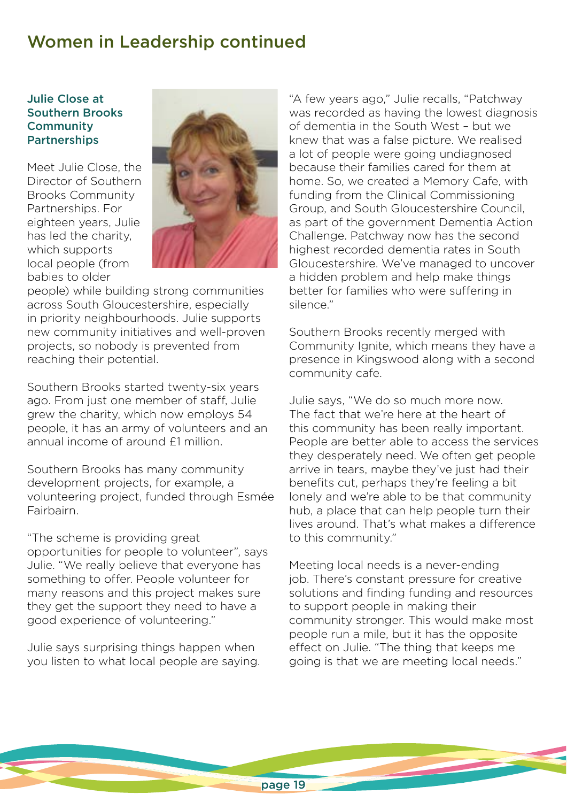## Women in Leadership continued

#### Julie Close at Southern Brooks **Community** Partnerships

Meet Julie Close, the Director of Southern Brooks Community Partnerships. For eighteen years, Julie has led the charity, which supports local people (from babies to older



people) while building strong communities across South Gloucestershire, especially in priority neighbourhoods. Julie supports new community initiatives and well-proven projects, so nobody is prevented from reaching their potential.

Southern Brooks started twenty-six years ago. From just one member of staff, Julie grew the charity, which now employs 54 people, it has an army of volunteers and an annual income of around £1 million.

Southern Brooks has many community development projects, for example, a volunteering project, funded through Esmée **Fairbairn** 

"The scheme is providing great opportunities for people to volunteer", says Julie. "We really believe that everyone has something to offer. People volunteer for many reasons and this project makes sure they get the support they need to have a good experience of volunteering."

Julie says surprising things happen when you listen to what local people are saying. "A few years ago," Julie recalls, "Patchway was recorded as having the lowest diagnosis of dementia in the South West – but we knew that was a false picture. We realised a lot of people were going undiagnosed because their families cared for them at home. So, we created a Memory Cafe, with funding from the Clinical Commissioning Group, and South Gloucestershire Council, as part of the government Dementia Action Challenge. Patchway now has the second highest recorded dementia rates in South Gloucestershire. We've managed to uncover a hidden problem and help make things better for families who were suffering in silence."

Southern Brooks recently merged with Community Ignite, which means they have a presence in Kingswood along with a second community cafe.

Julie says, "We do so much more now. The fact that we're here at the heart of this community has been really important. People are better able to access the services they desperately need. We often get people arrive in tears, maybe they've just had their benefits cut, perhaps they're feeling a bit lonely and we're able to be that community hub, a place that can help people turn their lives around. That's what makes a difference to this community."

Meeting local needs is a never-ending job. There's constant pressure for creative solutions and finding funding and resources to support people in making their community stronger. This would make most people run a mile, but it has the opposite effect on Julie. "The thing that keeps me going is that we are meeting local needs."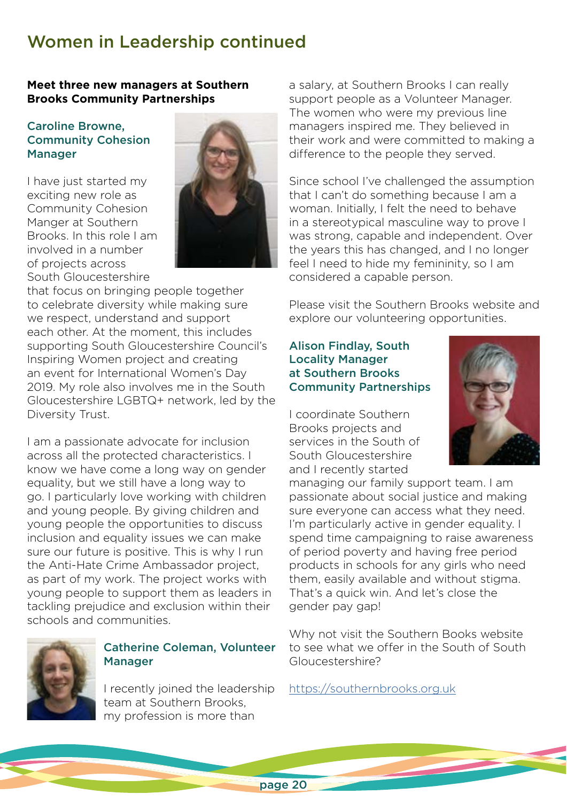# Women in Leadership continued

#### **Meet three new managers at Southern Brooks Community Partnerships**

#### Caroline Browne, Community Cohesion Manager

I have just started my exciting new role as Community Cohesion Manger at Southern Brooks. In this role I am involved in a number of projects across South Gloucestershire



that focus on bringing people together to celebrate diversity while making sure we respect, understand and support each other. At the moment, this includes supporting South Gloucestershire Council's Inspiring Women project and creating an event for International Women's Day 2019. My role also involves me in the South Gloucestershire LGBTQ+ network, led by the Diversity Trust.

I am a passionate advocate for inclusion across all the protected characteristics. I know we have come a long way on gender equality, but we still have a long way to go. I particularly love working with children and young people. By giving children and young people the opportunities to discuss inclusion and equality issues we can make sure our future is positive. This is why I run the Anti-Hate Crime Ambassador project, as part of my work. The project works with young people to support them as leaders in tackling prejudice and exclusion within their schools and communities.



## Catherine Coleman, Volunteer Manager

I recently joined the leadership team at Southern Brooks, my profession is more than

a salary, at Southern Brooks I can really support people as a Volunteer Manager. The women who were my previous line managers inspired me. They believed in their work and were committed to making a difference to the people they served.

Since school I've challenged the assumption that I can't do something because I am a woman. Initially, I felt the need to behave in a stereotypical masculine way to prove I was strong, capable and independent. Over the years this has changed, and I no longer feel I need to hide my femininity, so I am considered a capable person.

Please visit the Southern Brooks website and explore our volunteering opportunities.

#### Alison Findlay, South Locality Manager at Southern Brooks Community Partnerships

I coordinate Southern Brooks projects and services in the South of South Gloucestershire and I recently started



managing our family support team. I am passionate about social justice and making sure everyone can access what they need. I'm particularly active in gender equality. I spend time campaigning to raise awareness of period poverty and having free period products in schools for any girls who need them, easily available and without stigma. That's a quick win. And let's close the gender pay gap!

Why not visit the Southern Books website to see what we offer in the South of South Gloucestershire?

<https://southernbrooks.org.uk>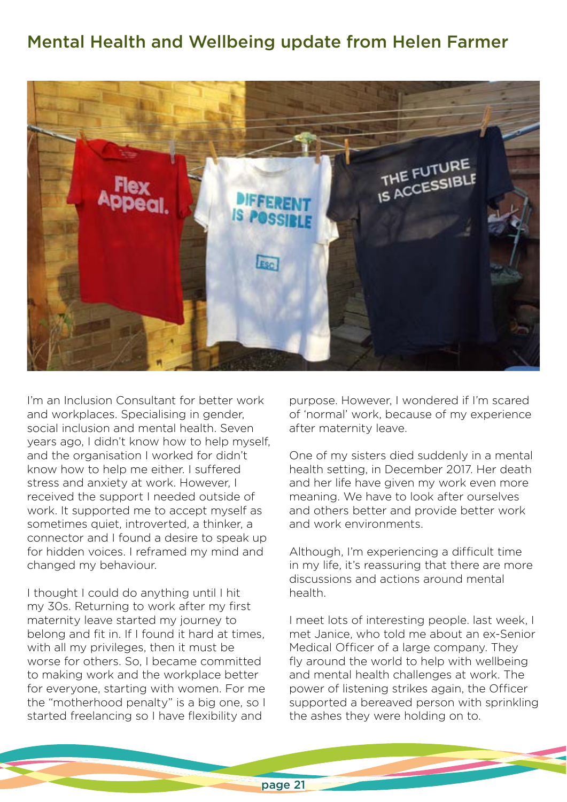## Mental Health and Wellbeing update from Helen Farmer



I'm an Inclusion Consultant for better work and workplaces. Specialising in gender, social inclusion and mental health. Seven years ago, I didn't know how to help myself, and the organisation I worked for didn't know how to help me either. I suffered stress and anxiety at work. However, I received the support I needed outside of work. It supported me to accept myself as sometimes quiet, introverted, a thinker, a connector and I found a desire to speak up for hidden voices. I reframed my mind and changed my behaviour.

I thought I could do anything until I hit my 30s. Returning to work after my first maternity leave started my journey to belong and fit in. If I found it hard at times, with all my privileges, then it must be worse for others. So, I became committed to making work and the workplace better for everyone, starting with women. For me the "motherhood penalty" is a big one, so I started freelancing so I have flexibility and

purpose. However, I wondered if I'm scared of 'normal' work, because of my experience after maternity leave.

One of my sisters died suddenly in a mental health setting, in December 2017. Her death and her life have given my work even more meaning. We have to look after ourselves and others better and provide better work and work environments.

Although, I'm experiencing a difficult time in my life, it's reassuring that there are more discussions and actions around mental health.

I meet lots of interesting people. last week, I met Janice, who told me about an ex-Senior Medical Officer of a large company. They fly around the world to help with wellbeing and mental health challenges at work. The power of listening strikes again, the Officer supported a bereaved person with sprinkling the ashes they were holding on to.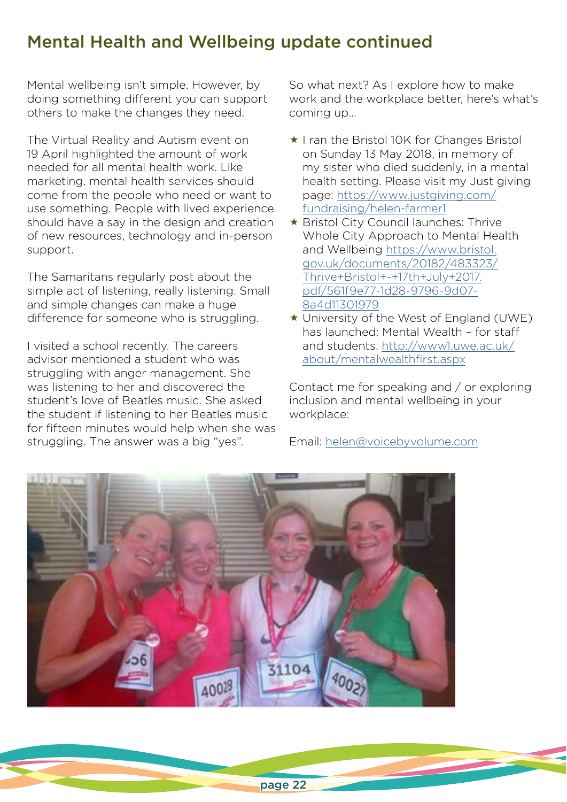# Mental Health and Wellbeing update continued

Mental wellbeing isn't simple. However, by doing something different you can support others to make the changes they need.

The Virtual Reality and Autism event on 19 April highlighted the amount of work needed for all mental health work. Like marketing, mental health services should come from the people who need or want to use something. People with lived experience should have a say in the design and creation of new resources, technology and in-person support.

The Samaritans regularly post about the simple act of listening, really listening. Small and simple changes can make a huge difference for someone who is struggling.

I visited a school recently. The careers advisor mentioned a student who was struggling with anger management. She was listening to her and discovered the student's love of Beatles music. She asked the student if listening to her Beatles music for fifteen minutes would help when she was struggling. The answer was a big "yes".

So what next? As I explore how to make work and the workplace better, here's what's coming up...

- $\star$  I ran the Bristol 10K for Changes Bristol on Sunday 13 May 2018, in memory of my sister who died suddenly, in a mental health setting. Please visit my Just giving page: [https://www.justgiving.com/](https://www.justgiving.com/fundraising/helen-farmer1) [fundraising/helen-farmer1](https://www.justgiving.com/fundraising/helen-farmer1)
- ★ Bristol City Council launches: Thrive Whole City Approach to Mental Health and Wellbeing [https://www.bristol.](https://www.bristol.gov.uk/documents/20182/483323/Thrive+Bristol+-+17th+July+2017.pdf/561f9e77-1d28-9796-9d07-8a4d11301979) [gov.uk/documents/20182/483323/](https://www.bristol.gov.uk/documents/20182/483323/Thrive+Bristol+-+17th+July+2017.pdf/561f9e77-1d28-9796-9d07-8a4d11301979) [Thrive+Bristol+-+17th+July+2017.](https://www.bristol.gov.uk/documents/20182/483323/Thrive+Bristol+-+17th+July+2017.pdf/561f9e77-1d28-9796-9d07-8a4d11301979) [pdf/561f9e77-1d28-9796-9d07-](https://www.bristol.gov.uk/documents/20182/483323/Thrive+Bristol+-+17th+July+2017.pdf/561f9e77-1d28-9796-9d07-8a4d11301979) [8a4d11301979](https://www.bristol.gov.uk/documents/20182/483323/Thrive+Bristol+-+17th+July+2017.pdf/561f9e77-1d28-9796-9d07-8a4d11301979)
- University of the West of England (UWE) has launched: Mental Wealth – for staff and students. [http://www1.uwe.ac.uk/](http://www1.uwe.ac.uk/about/mentalwealthfirst.aspx) [about/mentalwealthfirst.aspx](http://www1.uwe.ac.uk/about/mentalwealthfirst.aspx)

Contact me for speaking and / or exploring inclusion and mental wellbeing in your workplace:

Email: [helen@voicebyvolume.com](mailto:helen@voicebyvolume.com)

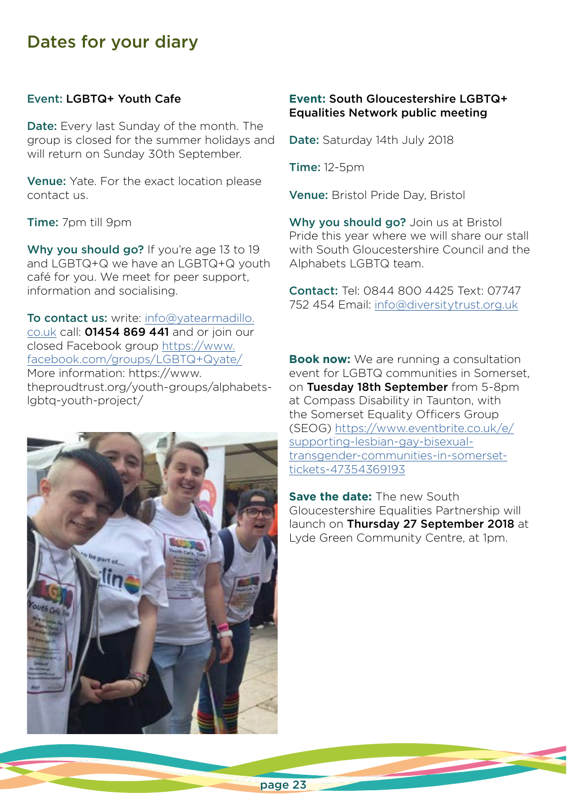## Dates for your diary

#### Event: LGBTQ+ Youth Cafe

Date: Every last Sunday of the month. The group is closed for the summer holidays and will return on Sunday 30th September.

Venue: Yate. For the exact location please contact us.

Time: 7pm till 9pm

Why you should go? If you're age 13 to 19 and LGBTQ+Q we have an LGBTQ+Q youth café for you. We meet for peer support, information and socialising.

To contact us: write: [info@yatearmadillo.](mailto:info@yatearmadillo.co.uk) [co.uk](mailto:info@yatearmadillo.co.uk) call: 01454 869 441 and or join our closed Facebook group [https://www.](https://www.facebook.com/groups/LGBTQyate/) [facebook.com/groups/LGBTQ+Qyate/](https://www.facebook.com/groups/LGBTQyate/) More information: https://www. theproudtrust.org/youth-groups/alphabetslgbtq-youth-project/



#### **Event:** South Gloucestershire LGBTQ+ Equalities Network public meeting

Date: Saturday 14th July 2018

Time: 12-5pm

Venue: Bristol Pride Day, Bristol

Why you should go? Join us at Bristol Pride this year where we will share our stall with South Gloucestershire Council and the Alphabets LGBTQ team.

Contact: Tel: 0844 800 4425 Text: 07747 752 454 Email: [info@diversitytrust.org.uk](mailto:info@diversitytrust.org.uk)

**Book now:** We are running a consultation event for LGBTQ communities in Somerset, on Tuesday 18th September from 5-8pm at Compass Disability in Taunton, with the Somerset Equality Officers Group (SEOG) [https://www.eventbrite.co.uk/e/](https://www.eventbrite.co.uk/e/supporting-lesbian-gay-bisexual-transgender-communities-in-somerset-tickets-47354369193) [supporting-lesbian-gay-bisexual](https://www.eventbrite.co.uk/e/supporting-lesbian-gay-bisexual-transgender-communities-in-somerset-tickets-47354369193)[transgender-communities-in-somerset](https://www.eventbrite.co.uk/e/supporting-lesbian-gay-bisexual-transgender-communities-in-somerset-tickets-47354369193)[tickets-47354369193](https://www.eventbrite.co.uk/e/supporting-lesbian-gay-bisexual-transgender-communities-in-somerset-tickets-47354369193)

**Save the date:** The new South Gloucestershire Equalities Partnership will launch on Thursday 27 September 2018 at Lyde Green Community Centre, at 1pm.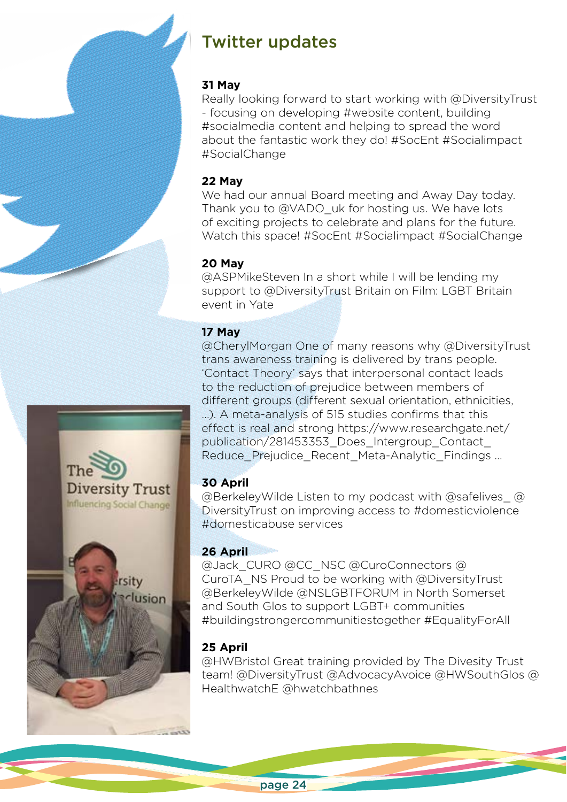# Twitter updates

## **31 May**

Really looking forward to start working with @DiversityTrust - focusing on developing #website content, building #socialmedia content and helping to spread the word about the fantastic work they do! #SocEnt #Socialimpact #SocialChange

## **22 May**

We had our annual Board meeting and Away Day today. Thank you to @VADO\_uk for hosting us. We have lots of exciting projects to celebrate and plans for the future. Watch this space! #SocEnt #Socialimpact #SocialChange

## **20 May**

@ASPMikeSteven In a short while I will be lending my support to @DiversityTrust Britain on Film: LGBT Britain event in Yate

## **17 May**

@CherylMorgan One of many reasons why @DiversityTrust trans awareness training is delivered by trans people. 'Contact Theory' says that interpersonal contact leads to the reduction of prejudice between members of different groups (different sexual orientation, ethnicities, …). A meta-analysis of 515 studies confirms that this effect is real and strong https://www.researchgate.net/ publication/281453353\_Does\_Intergroup\_Contact\_ Reduce\_Prejudice\_Recent\_Meta-Analytic\_Findings ...

## **30 April**

@BerkeleyWilde Listen to my podcast with @safelives\_ @ DiversityTrust on improving access to #domesticviolence #domesticabuse services

## **26 April**

@Jack\_CURO @CC\_NSC @CuroConnectors @ CuroTA\_NS Proud to be working with @DiversityTrust @BerkeleyWilde @NSLGBTFORUM in North Somerset and South Glos to support LGBT+ communities #buildingstrongercommunitiestogether #EqualityForAll

## **25 April**

@HWBristol Great training provided by The Divesity Trust team! @DiversityTrust @AdvocacyAvoice @HWSouthGlos @ HealthwatchE @hwatchbathnes

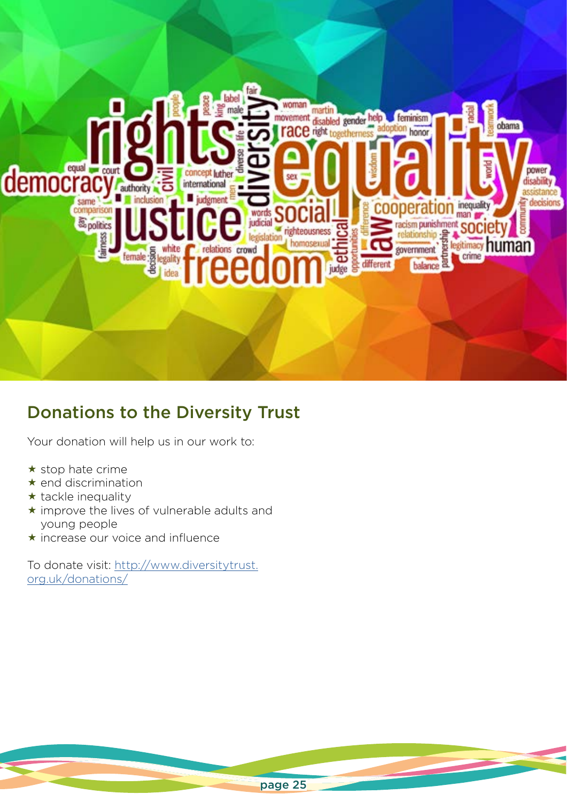

# Donations to the Diversity Trust

Your donation will help us in our work to:

- $\star$  stop hate crime
- $\star$  end discrimination
- $\star$  tackle inequality
- $\star$  improve the lives of vulnerable adults and young people
- $\star$  increase our voice and influence

To donate visit: [http://www.diversitytrust.](http://www.diversitytrust.org.uk/donations/) [org.uk/donations/](http://www.diversitytrust.org.uk/donations/)